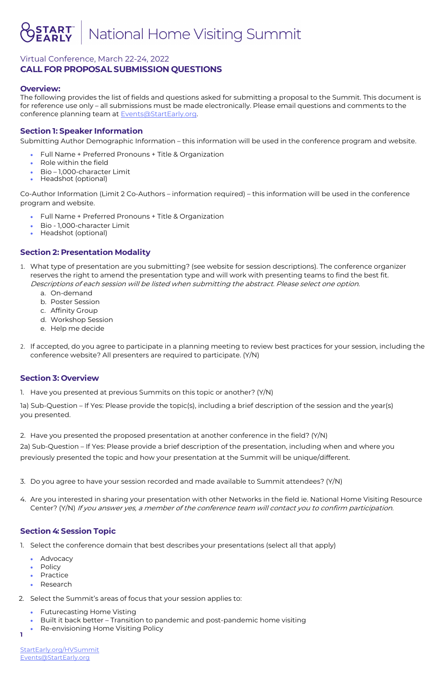# National Home Visiting Summit

### Virtual Conference, March 22-24, 2022 **CALL FOR PROPOSAL SUBMISSION QUESTIONS**

The following provides the list of fields and questions asked for submitting a proposal to the Summit. This document is for reference use only – all submissions must be made electronically. Please email questions and comments to the conference planning team at **Events@StartEarly.org**.

**1** 

StartEarly.org/HVSummit [Events@StartEarly.org](mailto:Mailto@EventsStartEarly.org)

### **Overview:**

### **Section 1: Speaker Information**

Submitting Author Demographic Information – this information will be used in the conference program and website.

- Full Name + Preferred Pronouns + Title & Organization
- Role within the field
- Bio 1,000-character Limit
- Headshot (optional)

Co-Author Information (Limit 2 Co-Authors – information required) – this information will be used in the conference program and website.

- Full Name + Preferred Pronouns + Title & Organization
- Bio 1,000-character Limit
- Headshot (optional)

### **Section 2: Presentation Modality**

- 1. Select the conference domain that best describes your presentations (select all that apply)
	- Advocacy
	- Policy
- 1. What type of presentation are you submitting? (see website for session descriptions). The conference organizer reserves the right to amend the presentation type and will work with presenting teams to find the best fit. Descriptions of each session will be listed when submitting the abstract. Please select one option.
	- a. On-demand
	- b. Poster Session
	- c. Affinity Group
	- d. Workshop Session
	- e. Help me decide
- 2. If accepted, do you agree to participate in a planning meeting to review best practices for your session, including the conference website? All presenters are required to participate. (Y/N)

- Practice
- Research
- 2. Select the Summit's areas of focus that your session applies to:
	- Futurecasting Home Visting
	- Built it back better Transition to pandemic and post-pandemic home visiting
	- Re-envisioning Home Visiting Policy

#### **Section 3: Overview**

1. Have you presented at previous Summits on this topic or another? (Y/N)

1a) Sub-Question – If Yes: Please provide the topic(s), including a brief description of the session and the year(s) you presented.

2. Have you presented the proposed presentation at another conference in the field? (Y/N)

2a) Sub-Question – If Yes: Please provide a brief description of the presentation, including when and where you previously presented the topic and how your presentation at the Summit will be unique/different.

3. Do you agree to have your session recorded and made available to Summit attendees? (Y/N)

4. Are you interested in sharing your presentation with other Networks in the field ie. National Home Visiting Resource

Center? (Y/N) If you answer yes, a member of the conference team will contact you to confirm participation.

### **Section 4: Session Topic**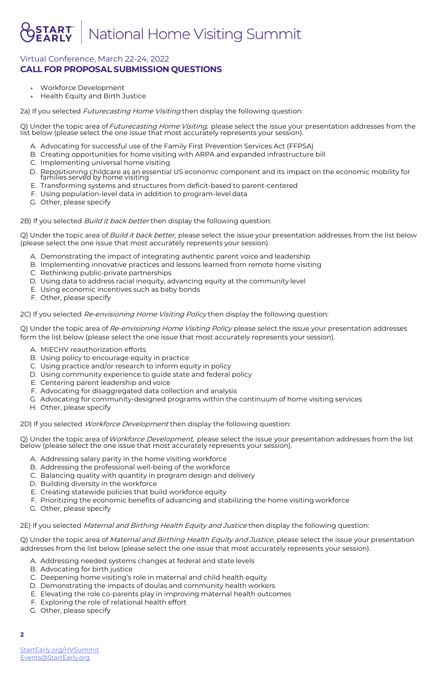# National Home Visiting Summit

# Virtual Conference, March 22-24, 2022 **CALL FOR PROPOSAL SUBMISSION QUESTIONS**

#### **2**

StartEarly.org/HVSummit [Events@StartEarly.org](mailto:Mailto@EventsStartEarly.org)

- Workforce Development
- Health Equity and Birth Justice

2a) If you selected *Futurecasting Home Visiting* then display the following question:

Q) Under the topic area of Futurecasting Home Visiting, please select the issue your presentation addresses from the list below (please select the one issue that most accurately represents your session).

Q) Under the topic area of Build it back better, please select the issue your presentation addresses from the list below (please select the one issue that most accurately represents your session).

- A. Advocating for successful use of the Family First Prevention Services Act (FFPSA)
- B. Creating opportunities for home visiting with ARPA and expanded infrastructure bill
- C. Implementing universal home visiting
- D. Repositioning childcare as an essential US economic component and its impact on the economic mobility for families served by home visiting
- E. Transforming systems and structures from deficit-based to parent-centered
- F. Using population-level data in addition to program-level data
- G. Other, please specify

2B) If you selected *Build it back better* then display the following question:

Q) Under the topic area of Re-envisioning Home Visiting Policy please select the issue your presentation addresses form the list below (please select the one issue that most accurately represents your session).

- A. Demonstrating the impact of integrating authentic parent voice and leadership
- B. Implementing innovative practices and lessons learned from remote home visiting
- C. Rethinking public-private partnerships
- D. Using data to address racial inequity, advancing equity at the community level
- E. Using economic incentives such as baby bonds
- F. Other, please specify

2C) If you selected *Re-envisioning Home Visiting Policy* then display the following question:

- A. MIECHV reauthorization efforts
- B. Using policy to encourage equity in practice
- C. Using practice and/or research to inform equity in policy
- D. Using community experience to guide state and federal policy
- E. Centering parent leadership and voice
- F. Advocating for disaggregated data collection and analysis
- G. Advocating for community-designed programs within the continuum of home visiting services
- H. Other, please specify

2D) If you selected *Workforce Development* then display the following question:

Q) Under the topic area of Workforce Development, please select the issue your presentation addresses from the list below (please select the one issue that most accurately represents your session).

- A. Addressing salary parity in the home visiting workforce
- B. Addressing the professional well-being of the workforce
- C. Balancing quality with quantity in program design and delivery
- D. Building diversity in the workforce
- E. Creating statewide policies that build workforce equity
- F. Prioritizing the economic benefits of advancing and stabilizing the home visiting workforce
- 

#### G. Other, please specify

2E) If you selected Maternal and Birthing Health Equity and Justice then display the following question:

Q) Under the topic area of Maternal and Birthing Health Equity and Justice, please select the issue your presentation addresses from the list below (please select the one issue that most accurately represents your session).

- A. Addressing needed systems changes at federal and state levels
- B. Advocating for birth justice
- C. Deepening home visiting's role in maternal and child health equity
- D. Demonstrating the impacts of doulas and community health workers
- E. Elevating the role co-parents play in improving maternal health outcomes
- F. Exploring the role of relational health effort
- G. Other, please specify